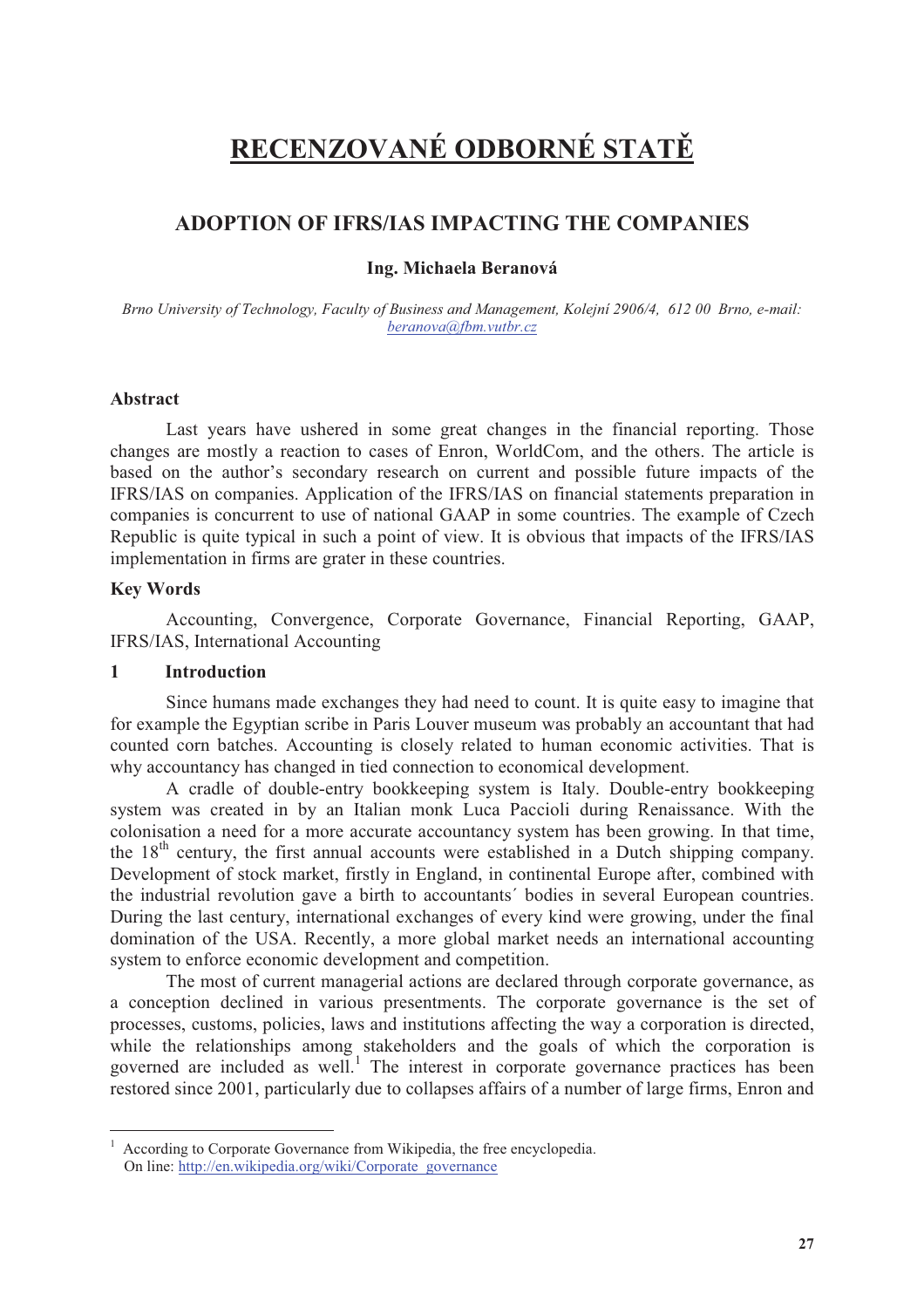# **RECENZOVANÉ ODBORNÉ STAT**

# **ADOPTION OF IFRS/IAS IMPACTING THE COMPANIES**

**Ing. Michaela Beranová** 

*Brno University of Technology, Faculty of Business and Management, Kolejní 2906/4, 612 00 Brno, e-mail: beranova@fbm.vutbr.cz* 

#### **Abstract**

Last years have ushered in some great changes in the financial reporting. Those changes are mostly a reaction to cases of Enron, WorldCom, and the others. The article is based on the author's secondary research on current and possible future impacts of the IFRS/IAS on companies. Application of the IFRS/IAS on financial statements preparation in companies is concurrent to use of national GAAP in some countries. The example of Czech Republic is quite typical in such a point of view. It is obvious that impacts of the IFRS/IAS implementation in firms are grater in these countries.

#### **Key Words**

 $\overline{a}$ 

Accounting, Convergence, Corporate Governance, Financial Reporting, GAAP, IFRS/IAS, International Accounting

### **1 Introduction**

Since humans made exchanges they had need to count. It is quite easy to imagine that for example the Egyptian scribe in Paris Louver museum was probably an accountant that had counted corn batches. Accounting is closely related to human economic activities. That is why accountancy has changed in tied connection to economical development.

A cradle of double-entry bookkeeping system is Italy. Double-entry bookkeeping system was created in by an Italian monk Luca Paccioli during Renaissance. With the colonisation a need for a more accurate accountancy system has been growing. In that time, the  $18<sup>th</sup>$  century, the first annual accounts were established in a Dutch shipping company. Development of stock market, firstly in England, in continental Europe after, combined with the industrial revolution gave a birth to accountants´ bodies in several European countries. During the last century, international exchanges of every kind were growing, under the final domination of the USA. Recently, a more global market needs an international accounting system to enforce economic development and competition.

The most of current managerial actions are declared through corporate governance, as a conception declined in various presentments. The corporate governance is the set of processes, customs, policies, laws and institutions affecting the way a corporation is directed, while the relationships among stakeholders and the goals of which the corporation is governed are included as well.<sup>1</sup> The interest in corporate governance practices has been restored since 2001, particularly due to collapses affairs of a number of large firms, Enron and

<sup>1</sup> According to Corporate Governance from Wikipedia, the free encyclopedia. On line: http://en.wikipedia.org/wiki/Corporate\_governance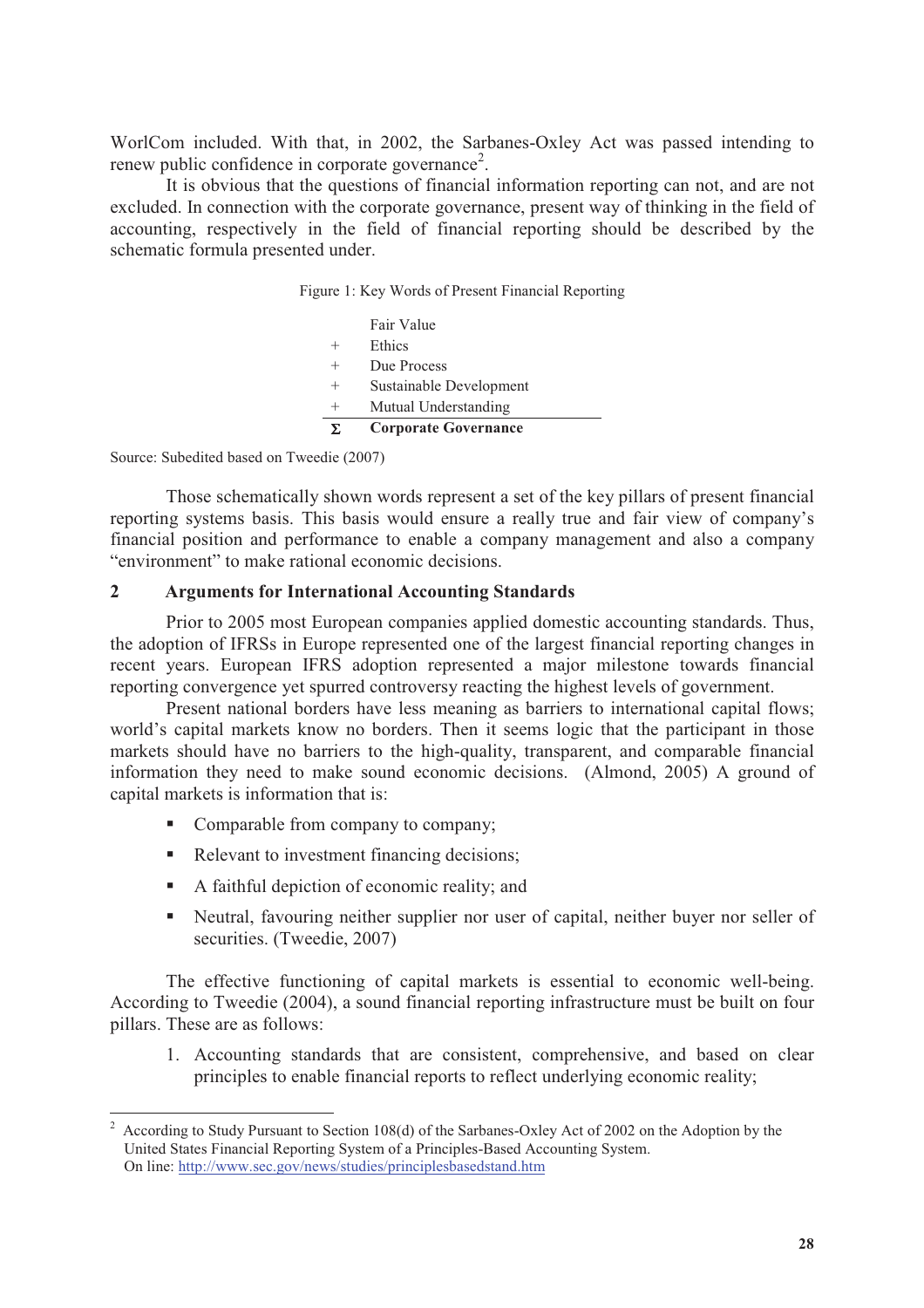WorlCom included. With that, in 2002, the Sarbanes-Oxley Act was passed intending to renew public confidence in corporate governance<sup>2</sup>.

It is obvious that the questions of financial information reporting can not, and are not excluded. In connection with the corporate governance, present way of thinking in the field of accounting, respectively in the field of financial reporting should be described by the schematic formula presented under.

|  |  | Figure 1: Key Words of Present Financial Reporting |
|--|--|----------------------------------------------------|
|  |  |                                                    |

| E. | <b>Corporate Governance</b> |
|----|-----------------------------|
|    | Mutual Understanding        |
|    | Sustainable Development     |
|    | Due Process                 |
|    | Ethics                      |
|    | Fair Value                  |

Source: Subedited based on Tweedie (2007)

 $\overline{a}$ 

Those schematically shown words represent a set of the key pillars of present financial reporting systems basis. This basis would ensure a really true and fair view of company's financial position and performance to enable a company management and also a company "environment" to make rational economic decisions.

#### **2 Arguments for International Accounting Standards**

Prior to 2005 most European companies applied domestic accounting standards. Thus, the adoption of IFRSs in Europe represented one of the largest financial reporting changes in recent years. European IFRS adoption represented a major milestone towards financial reporting convergence yet spurred controversy reacting the highest levels of government.

Present national borders have less meaning as barriers to international capital flows; world's capital markets know no borders. Then it seems logic that the participant in those markets should have no barriers to the high-quality, transparent, and comparable financial information they need to make sound economic decisions. (Almond, 2005) A ground of capital markets is information that is:

- Comparable from company to company:
- Relevant to investment financing decisions;
- A faithful depiction of economic reality; and
- Neutral, favouring neither supplier nor user of capital, neither buyer nor seller of securities. (Tweedie, 2007)

The effective functioning of capital markets is essential to economic well-being. According to Tweedie (2004), a sound financial reporting infrastructure must be built on four pillars. These are as follows:

1. Accounting standards that are consistent, comprehensive, and based on clear principles to enable financial reports to reflect underlying economic reality;

<sup>2</sup> According to Study Pursuant to Section 108(d) of the Sarbanes-Oxley Act of 2002 on the Adoption by the United States Financial Reporting System of a Principles-Based Accounting System. On line: http://www.sec.gov/news/studies/principlesbasedstand.htm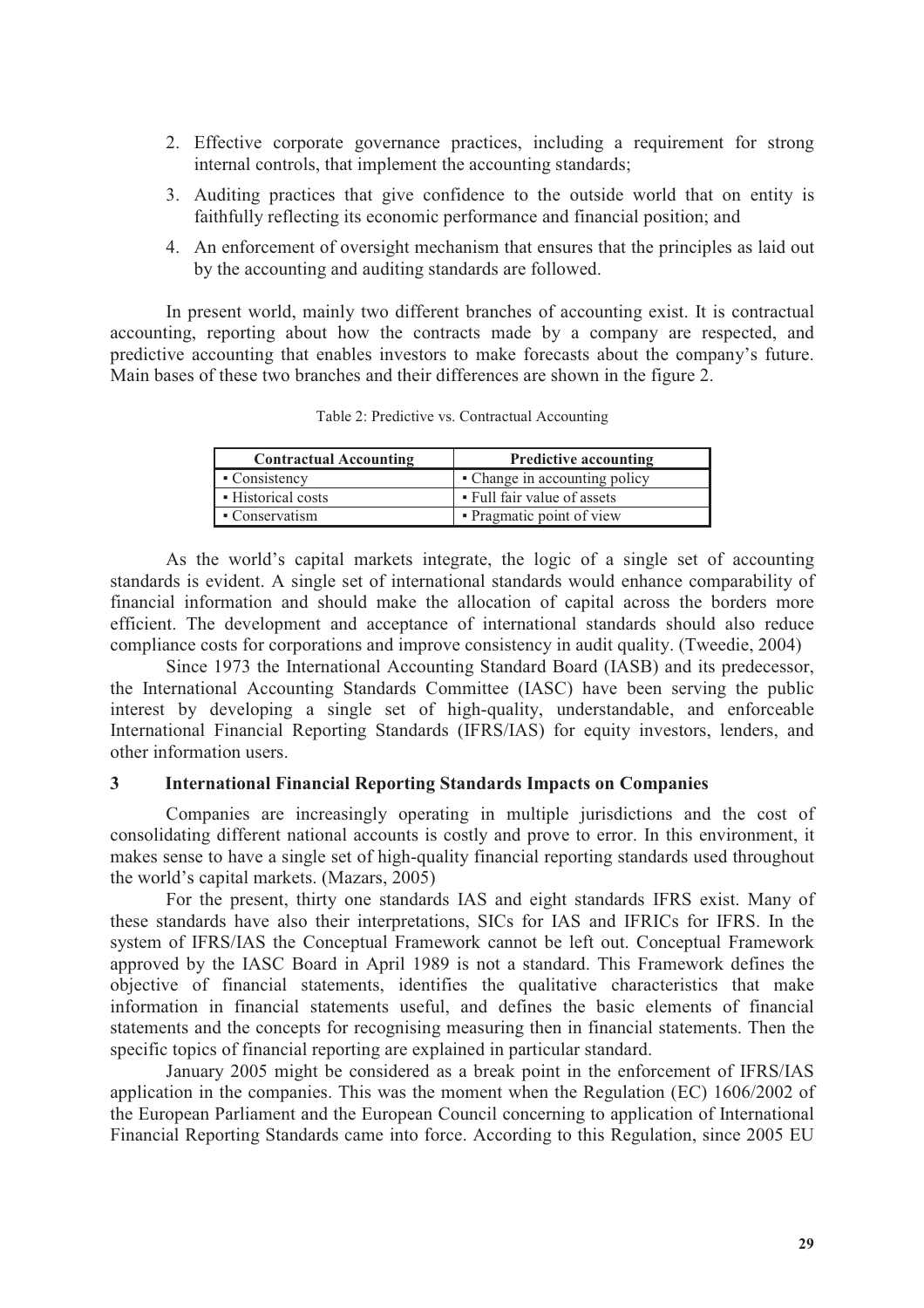- 2. Effective corporate governance practices, including a requirement for strong internal controls, that implement the accounting standards;
- 3. Auditing practices that give confidence to the outside world that on entity is faithfully reflecting its economic performance and financial position; and
- 4. An enforcement of oversight mechanism that ensures that the principles as laid out by the accounting and auditing standards are followed.

In present world, mainly two different branches of accounting exist. It is contractual accounting, reporting about how the contracts made by a company are respected, and predictive accounting that enables investors to make forecasts about the company's future. Main bases of these two branches and their differences are shown in the figure 2.

| <b>Contractual Accounting</b> | <b>Predictive accounting</b>  |  |
|-------------------------------|-------------------------------|--|
| • Consistency                 | • Change in accounting policy |  |
| • Historical costs            | • Full fair value of assets   |  |
| • Conservatism                | • Pragmatic point of view     |  |

Table 2: Predictive vs. Contractual Accounting

As the world's capital markets integrate, the logic of a single set of accounting standards is evident. A single set of international standards would enhance comparability of financial information and should make the allocation of capital across the borders more efficient. The development and acceptance of international standards should also reduce compliance costs for corporations and improve consistency in audit quality. (Tweedie, 2004)

Since 1973 the International Accounting Standard Board (IASB) and its predecessor, the International Accounting Standards Committee (IASC) have been serving the public interest by developing a single set of high-quality, understandable, and enforceable International Financial Reporting Standards (IFRS/IAS) for equity investors, lenders, and other information users.

#### **3 International Financial Reporting Standards Impacts on Companies**

Companies are increasingly operating in multiple jurisdictions and the cost of consolidating different national accounts is costly and prove to error. In this environment, it makes sense to have a single set of high-quality financial reporting standards used throughout the world's capital markets. (Mazars, 2005)

For the present, thirty one standards IAS and eight standards IFRS exist. Many of these standards have also their interpretations, SICs for IAS and IFRICs for IFRS. In the system of IFRS/IAS the Conceptual Framework cannot be left out. Conceptual Framework approved by the IASC Board in April 1989 is not a standard. This Framework defines the objective of financial statements, identifies the qualitative characteristics that make information in financial statements useful, and defines the basic elements of financial statements and the concepts for recognising measuring then in financial statements. Then the specific topics of financial reporting are explained in particular standard.

January 2005 might be considered as a break point in the enforcement of IFRS/IAS application in the companies. This was the moment when the Regulation (EC) 1606/2002 of the European Parliament and the European Council concerning to application of International Financial Reporting Standards came into force. According to this Regulation, since 2005 EU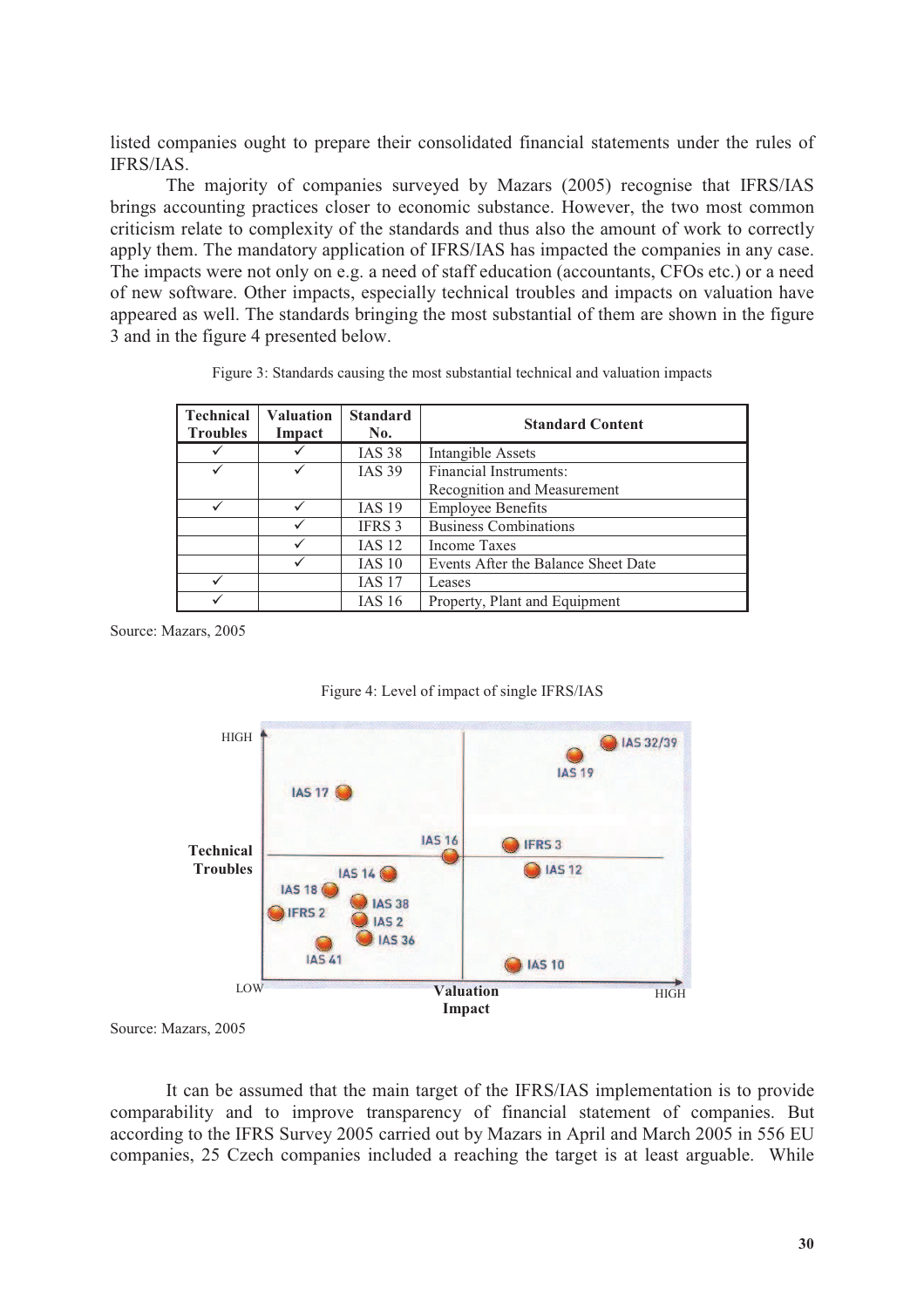listed companies ought to prepare their consolidated financial statements under the rules of IFRS/IAS.

The majority of companies surveyed by Mazars (2005) recognise that IFRS/IAS brings accounting practices closer to economic substance. However, the two most common criticism relate to complexity of the standards and thus also the amount of work to correctly apply them. The mandatory application of IFRS/IAS has impacted the companies in any case. The impacts were not only on e.g. a need of staff education (accountants, CFOs etc.) or a need of new software. Other impacts, especially technical troubles and impacts on valuation have appeared as well. The standards bringing the most substantial of them are shown in the figure 3 and in the figure 4 presented below.

| Technical<br><b>Troubles</b> | <b>Valuation</b><br>Impact | <b>Standard</b><br>No. | <b>Standard Content</b>             |
|------------------------------|----------------------------|------------------------|-------------------------------------|
|                              |                            | <b>IAS 38</b>          | <b>Intangible Assets</b>            |
|                              |                            | <b>IAS 39</b>          | Financial Instruments:              |
|                              |                            |                        | Recognition and Measurement         |
|                              |                            | <b>IAS 19</b>          | <b>Employee Benefits</b>            |
|                              |                            | <b>IFRS 3</b>          | <b>Business Combinations</b>        |
|                              | $\checkmark$               | $IAS$ 12               | Income Taxes                        |
|                              |                            | IAS 10                 | Events After the Balance Sheet Date |
|                              |                            | <b>IAS 17</b>          | Leases                              |
|                              |                            | IAS 16                 | Property, Plant and Equipment       |

Source: Mazars, 2005





Source: Mazars, 2005

It can be assumed that the main target of the IFRS/IAS implementation is to provide comparability and to improve transparency of financial statement of companies. But according to the IFRS Survey 2005 carried out by Mazars in April and March 2005 in 556 EU companies, 25 Czech companies included a reaching the target is at least arguable. While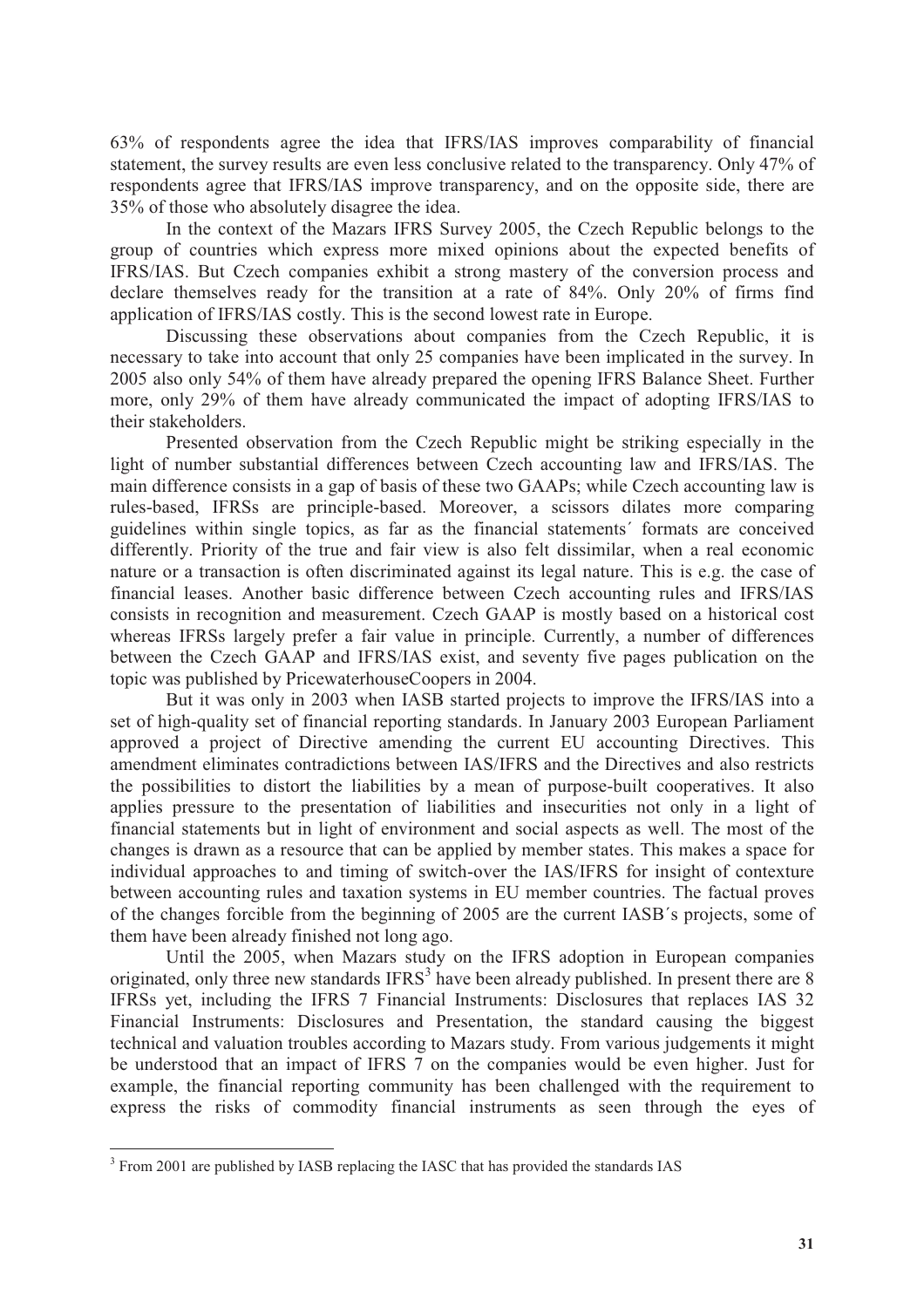63% of respondents agree the idea that IFRS/IAS improves comparability of financial statement, the survey results are even less conclusive related to the transparency. Only 47% of respondents agree that IFRS/IAS improve transparency, and on the opposite side, there are 35% of those who absolutely disagree the idea.

In the context of the Mazars IFRS Survey 2005, the Czech Republic belongs to the group of countries which express more mixed opinions about the expected benefits of IFRS/IAS. But Czech companies exhibit a strong mastery of the conversion process and declare themselves ready for the transition at a rate of 84%. Only 20% of firms find application of IFRS/IAS costly. This is the second lowest rate in Europe.

Discussing these observations about companies from the Czech Republic, it is necessary to take into account that only 25 companies have been implicated in the survey. In 2005 also only 54% of them have already prepared the opening IFRS Balance Sheet. Further more, only 29% of them have already communicated the impact of adopting IFRS/IAS to their stakeholders.

Presented observation from the Czech Republic might be striking especially in the light of number substantial differences between Czech accounting law and IFRS/IAS. The main difference consists in a gap of basis of these two GAAPs; while Czech accounting law is rules-based, IFRSs are principle-based. Moreover, a scissors dilates more comparing guidelines within single topics, as far as the financial statements´ formats are conceived differently. Priority of the true and fair view is also felt dissimilar, when a real economic nature or a transaction is often discriminated against its legal nature. This is e.g. the case of financial leases. Another basic difference between Czech accounting rules and IFRS/IAS consists in recognition and measurement. Czech GAAP is mostly based on a historical cost whereas IFRSs largely prefer a fair value in principle. Currently, a number of differences between the Czech GAAP and IFRS/IAS exist, and seventy five pages publication on the topic was published by PricewaterhouseCoopers in 2004.

But it was only in 2003 when IASB started projects to improve the IFRS/IAS into a set of high-quality set of financial reporting standards. In January 2003 European Parliament approved a project of Directive amending the current EU accounting Directives. This amendment eliminates contradictions between IAS/IFRS and the Directives and also restricts the possibilities to distort the liabilities by a mean of purpose-built cooperatives. It also applies pressure to the presentation of liabilities and insecurities not only in a light of financial statements but in light of environment and social aspects as well. The most of the changes is drawn as a resource that can be applied by member states. This makes a space for individual approaches to and timing of switch-over the IAS/IFRS for insight of contexture between accounting rules and taxation systems in EU member countries. The factual proves of the changes forcible from the beginning of 2005 are the current IASB´s projects, some of them have been already finished not long ago.

Until the 2005, when Mazars study on the IFRS adoption in European companies originated, only three new standards  $IFRS<sup>3</sup>$  have been already published. In present there are 8 IFRSs yet, including the IFRS 7 Financial Instruments: Disclosures that replaces IAS 32 Financial Instruments: Disclosures and Presentation, the standard causing the biggest technical and valuation troubles according to Mazars study. From various judgements it might be understood that an impact of IFRS 7 on the companies would be even higher. Just for example, the financial reporting community has been challenged with the requirement to express the risks of commodity financial instruments as seen through the eyes of

<sup>&</sup>lt;sup>3</sup> From 2001 are published by IASB replacing the IASC that has provided the standards IAS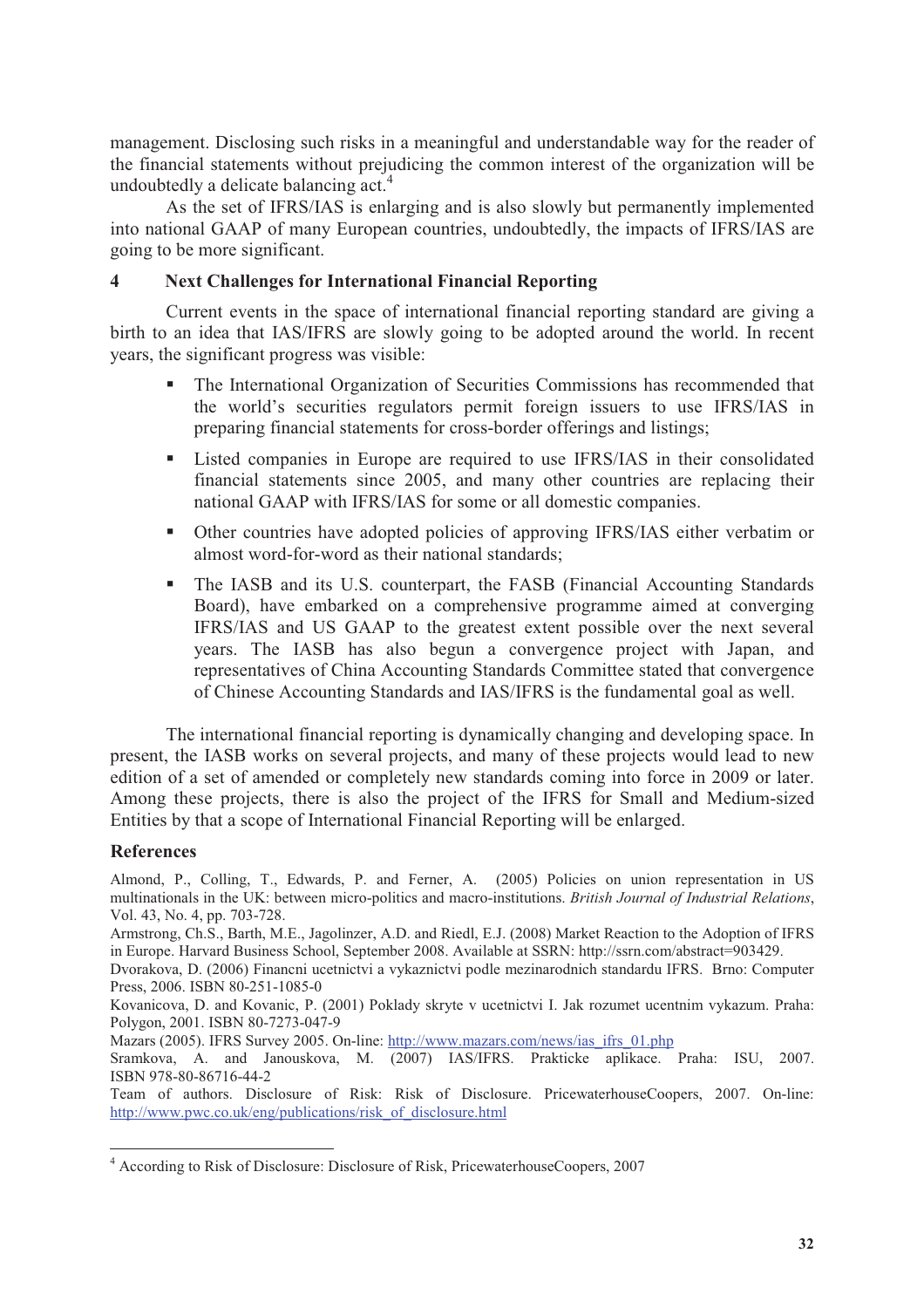management. Disclosing such risks in a meaningful and understandable way for the reader of the financial statements without prejudicing the common interest of the organization will be undoubtedly a delicate balancing act.<sup>4</sup>

As the set of IFRS/IAS is enlarging and is also slowly but permanently implemented into national GAAP of many European countries, undoubtedly, the impacts of IFRS/IAS are going to be more significant.

## **4 Next Challenges for International Financial Reporting**

Current events in the space of international financial reporting standard are giving a birth to an idea that IAS/IFRS are slowly going to be adopted around the world. In recent years, the significant progress was visible:

- The International Organization of Securities Commissions has recommended that the world's securities regulators permit foreign issuers to use IFRS/IAS in preparing financial statements for cross-border offerings and listings;
- Listed companies in Europe are required to use IFRS/IAS in their consolidated financial statements since 2005, and many other countries are replacing their national GAAP with IFRS/IAS for some or all domestic companies.
- Other countries have adopted policies of approving IFRS/IAS either verbatim or almost word-for-word as their national standards;
- The IASB and its U.S. counterpart, the FASB (Financial Accounting Standards) Board), have embarked on a comprehensive programme aimed at converging IFRS/IAS and US GAAP to the greatest extent possible over the next several years. The IASB has also begun a convergence project with Japan, and representatives of China Accounting Standards Committee stated that convergence of Chinese Accounting Standards and IAS/IFRS is the fundamental goal as well.

The international financial reporting is dynamically changing and developing space. In present, the IASB works on several projects, and many of these projects would lead to new edition of a set of amended or completely new standards coming into force in 2009 or later. Among these projects, there is also the project of the IFRS for Small and Medium-sized Entities by that a scope of International Financial Reporting will be enlarged.

### **References**

 $\overline{a}$ 

Almond, P., Colling, T., Edwards, P. and Ferner, A. (2005) Policies on union representation in US multinationals in the UK: between micro-politics and macro-institutions. *British Journal of Industrial Relations*, Vol. 43, No. 4, pp. 703-728.

Armstrong, Ch.S., Barth, M.E., Jagolinzer, A.D. and Riedl, E.J. (2008) Market Reaction to the Adoption of IFRS in Europe. Harvard Business School, September 2008. Available at SSRN: http://ssrn.com/abstract=903429.

Dvorakova, D. (2006) Financni ucetnictvi a vykaznictvi podle mezinarodnich standardu IFRS. Brno: Computer Press, 2006. ISBN 80-251-1085-0

Kovanicova, D. and Kovanic, P. (2001) Poklady skryte v ucetnictvi I. Jak rozumet ucentnim vykazum. Praha: Polygon, 2001. ISBN 80-7273-047-9

Mazars (2005). IFRS Survey 2005. On-line: http://www.mazars.com/news/ias\_ifrs\_01.php

Sramkova, A. and Janouskova, M. (2007) IAS/IFRS. Prakticke aplikace. Praha: ISU, 2007. ISBN 978-80-86716-44-2

Team of authors. Disclosure of Risk: Risk of Disclosure. PricewaterhouseCoopers, 2007. On-line: http://www.pwc.co.uk/eng/publications/risk\_of\_disclosure.html

<sup>&</sup>lt;sup>4</sup> According to Risk of Disclosure: Disclosure of Risk, PricewaterhouseCoopers, 2007